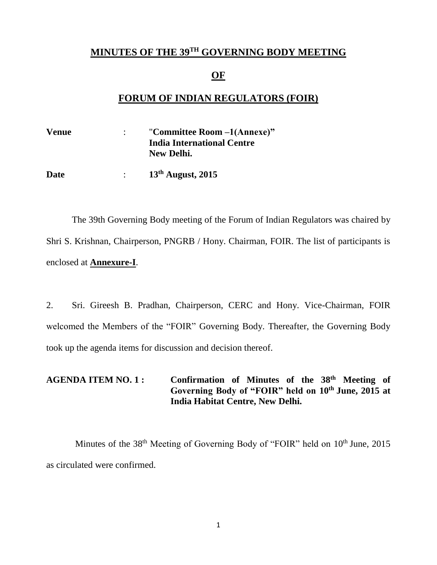# **MINUTES OF THE 39 TH GOVERNING BODY MEETING**

## **OF**

## **FORUM OF INDIAN REGULATORS (FOIR)**

| <b>Venue</b> | "Committee Room $-1$ (Annexe)"                  |  |
|--------------|-------------------------------------------------|--|
|              | <b>India International Centre</b><br>New Delhi. |  |
| Date         | $13th$ August, 2015                             |  |

The 39th Governing Body meeting of the Forum of Indian Regulators was chaired by Shri S. Krishnan, Chairperson, PNGRB / Hony. Chairman, FOIR. The list of participants is enclosed at **Annexure-I**.

2. Sri. Gireesh B. Pradhan, Chairperson, CERC and Hony. Vice-Chairman, FOIR welcomed the Members of the "FOIR" Governing Body. Thereafter, the Governing Body took up the agenda items for discussion and decision thereof.

# **AGENDA ITEM NO. 1 : Confirmation of Minutes of the 38 th Meeting of Governing Body of "FOIR" held on 10th June, 2015 at India Habitat Centre, New Delhi.**

Minutes of the 38<sup>th</sup> Meeting of Governing Body of "FOIR" held on 10<sup>th</sup> June, 2015 as circulated were confirmed.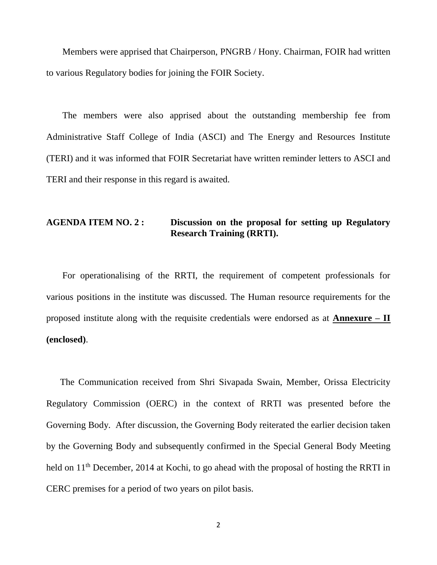Members were apprised that Chairperson, PNGRB / Hony. Chairman, FOIR had written to various Regulatory bodies for joining the FOIR Society.

 The members were also apprised about the outstanding membership fee from Administrative Staff College of India (ASCI) and The Energy and Resources Institute (TERI) and it was informed that FOIR Secretariat have written reminder letters to ASCI and TERI and their response in this regard is awaited.

## **AGENDA ITEM NO. 2 : Discussion on the proposal for setting up Regulatory Research Training (RRTI).**

 For operationalising of the RRTI, the requirement of competent professionals for various positions in the institute was discussed. The Human resource requirements for the proposed institute along with the requisite credentials were endorsed as at **Annexure – II (enclosed)**.

 The Communication received from Shri Sivapada Swain, Member, Orissa Electricity Regulatory Commission (OERC) in the context of RRTI was presented before the Governing Body. After discussion, the Governing Body reiterated the earlier decision taken by the Governing Body and subsequently confirmed in the Special General Body Meeting held on 11<sup>th</sup> December, 2014 at Kochi, to go ahead with the proposal of hosting the RRTI in CERC premises for a period of two years on pilot basis.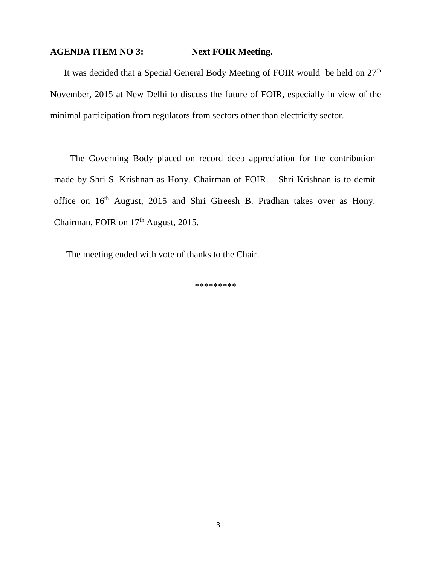# **AGENDA ITEM NO 3: Next FOIR Meeting.**

It was decided that a Special General Body Meeting of FOIR would be held on 27<sup>th</sup> November, 2015 at New Delhi to discuss the future of FOIR, especially in view of the minimal participation from regulators from sectors other than electricity sector.

 The Governing Body placed on record deep appreciation for the contribution made by Shri S. Krishnan as Hony. Chairman of FOIR. Shri Krishnan is to demit office on 16th August, 2015 and Shri Gireesh B. Pradhan takes over as Hony. Chairman, FOIR on 17<sup>th</sup> August, 2015.

The meeting ended with vote of thanks to the Chair.

\*\*\*\*\*\*\*\*\*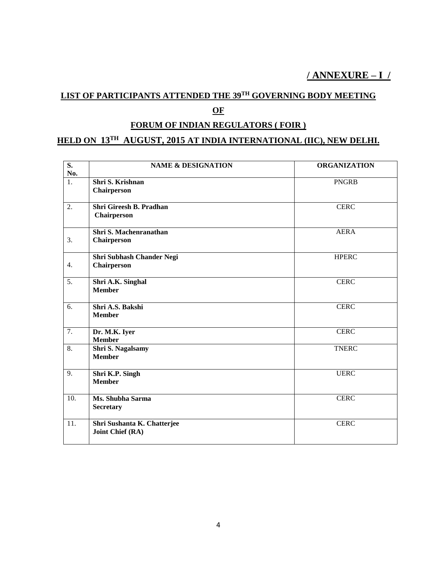**/ ANNEXURE – I /**

#### **LIST OF PARTICIPANTS ATTENDED THE 39 TH GOVERNING BODY MEETING**

### **OF**

## **FORUM OF INDIAN REGULATORS ( FOIR )**

## **HELD ON 13 TH AUGUST, 2015 AT INDIA INTERNATIONAL (IIC), NEW DELHI.**

| S.               | <b>NAME &amp; DESIGNATION</b>      | <b>ORGANIZATION</b> |
|------------------|------------------------------------|---------------------|
| No.<br>1.        | Shri S. Krishnan                   | <b>PNGRB</b>        |
|                  | Chairperson                        |                     |
| 2.               | <b>Shri Gireesh B. Pradhan</b>     | <b>CERC</b>         |
|                  | Chairperson                        |                     |
|                  | Shri S. Machenranathan             | <b>AERA</b>         |
| 3.               | Chairperson                        |                     |
|                  | Shri Subhash Chander Negi          | <b>HPERC</b>        |
| 4.               | Chairperson                        |                     |
| 5.               | Shri A.K. Singhal                  | <b>CERC</b>         |
|                  | <b>Member</b>                      |                     |
| 6.               | Shri A.S. Bakshi                   | <b>CERC</b>         |
|                  | <b>Member</b>                      |                     |
| $\overline{7}$ . | Dr. M.K. Iyer                      | <b>CERC</b>         |
| 8.               | <b>Member</b>                      | <b>TNERC</b>        |
|                  | Shri S. Nagalsamy<br><b>Member</b> |                     |
| 9.               | Shri K.P. Singh                    | <b>UERC</b>         |
|                  | <b>Member</b>                      |                     |
| 10.              | Ms. Shubha Sarma                   | <b>CERC</b>         |
|                  | Secretary                          |                     |
| 11.              | Shri Sushanta K. Chatterjee        | <b>CERC</b>         |
|                  | Joint Chief (RA)                   |                     |